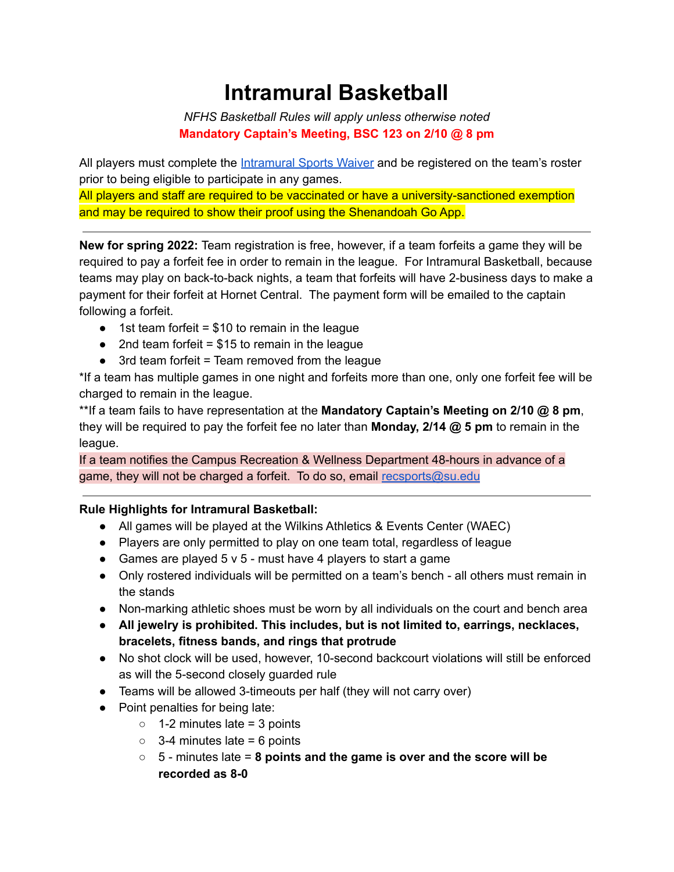# **Intramural Basketball**

*NFHS Basketball Rules will apply unless otherwise noted* **Mandatory Captain's Meeting, BSC 123 on 2/10 @ 8 pm**

All players must complete the [Intramural](https://forms.gle/9AASWqyy6KAjumx86) Sports Waiver and be registered on the team's roster prior to being eligible to participate in any games.

All players and staff are required to be vaccinated or have a university-sanctioned exemption and may be required to show their proof using the Shenandoah Go App.

**New for spring 2022:** Team registration is free, however, if a team forfeits a game they will be required to pay a forfeit fee in order to remain in the league. For Intramural Basketball, because teams may play on back-to-back nights, a team that forfeits will have 2-business days to make a payment for their forfeit at Hornet Central. The payment form will be emailed to the captain following a forfeit.

- $\bullet$  1st team forfeit = \$10 to remain in the league
- $\bullet$  2nd team forfeit = \$15 to remain in the league
- $\bullet$  3rd team forfeit = Team removed from the league

\*If a team has multiple games in one night and forfeits more than one, only one forfeit fee will be charged to remain in the league.

\*\*If a team fails to have representation at the **Mandatory Captain's Meeting on 2/10 @ 8 pm**, they will be required to pay the forfeit fee no later than **Monday, 2/14 @ 5 pm** to remain in the league.

If a team notifies the Campus Recreation & Wellness Department 48-hours in advance of a game, they will not be charged a forfeit. To do so, email [recsports@su.edu](mailto:recsports@su.edu)

#### **Rule Highlights for Intramural Basketball:**

- All games will be played at the Wilkins Athletics & Events Center (WAEC)
- Players are only permitted to play on one team total, regardless of league
- Games are played  $5 \vee 5$  must have 4 players to start a game
- Only rostered individuals will be permitted on a team's bench all others must remain in the stands
- Non-marking athletic shoes must be worn by all individuals on the court and bench area
- **● All jewelry is prohibited. This includes, but is not limited to, earrings, necklaces, bracelets, fitness bands, and rings that protrude**
- **●** No shot clock will be used, however, 10-second backcourt violations will still be enforced as will the 5-second closely guarded rule
- Teams will be allowed 3-timeouts per half (they will not carry over)
- Point penalties for being late:
	- $\circ$  1-2 minutes late = 3 points
	- $\circ$  3-4 minutes late = 6 points
	- 5 minutes late = **8 points and the game is over and the score will be recorded as 8-0**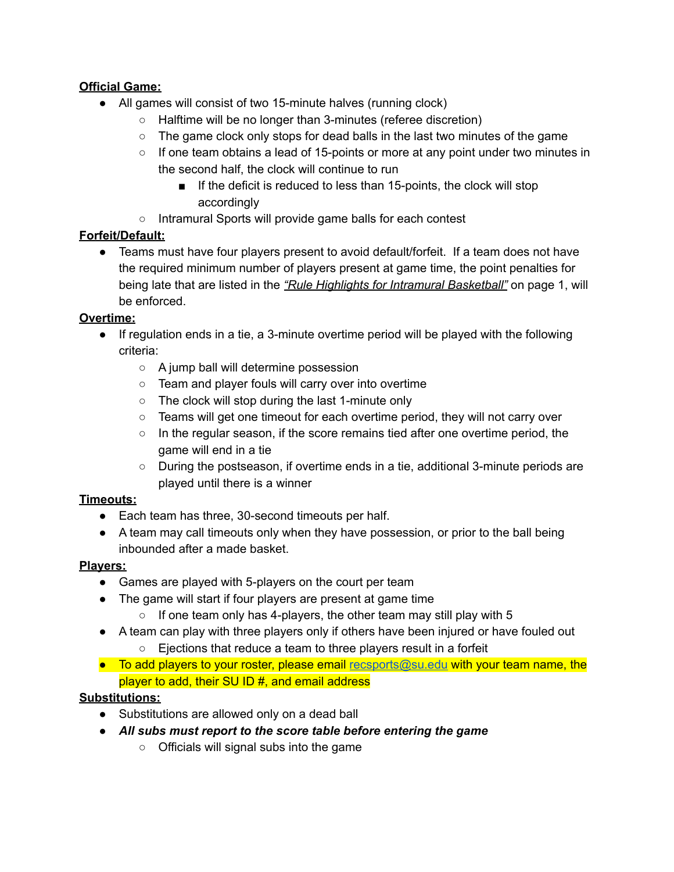## **Official Game:**

- All games will consist of two 15-minute halves (running clock)
	- Halftime will be no longer than 3-minutes (referee discretion)
	- $\circ$  The game clock only stops for dead balls in the last two minutes of the game
	- $\circ$  If one team obtains a lead of 15-points or more at any point under two minutes in the second half, the clock will continue to run
		- If the deficit is reduced to less than 15-points, the clock will stop accordingly
	- Intramural Sports will provide game balls for each contest

# **Forfeit/Default:**

• Teams must have four players present to avoid default/forfeit. If a team does not have the required minimum number of players present at game time, the point penalties for being late that are listed in the *"Rule Highlights for Intramural Basketball"* on page 1, will be enforced.

# **Overtime:**

- If regulation ends in a tie, a 3-minute overtime period will be played with the following criteria:
	- A jump ball will determine possession
	- Team and player fouls will carry over into overtime
	- The clock will stop during the last 1-minute only
	- Teams will get one timeout for each overtime period, they will not carry over
	- In the regular season, if the score remains tied after one overtime period, the game will end in a tie
	- During the postseason, if overtime ends in a tie, additional 3-minute periods are played until there is a winner

# **Timeouts:**

- Each team has three, 30-second timeouts per half.
- A team may call timeouts only when they have possession, or prior to the ball being inbounded after a made basket.

# **Players:**

- Games are played with 5-players on the court per team
- The game will start if four players are present at game time
	- $\circ$  If one team only has 4-players, the other team may still play with 5
- A team can play with three players only if others have been injured or have fouled out
	- Ejections that reduce a team to three players result in a forfeit
- To add players to your roster, please email [recsports@su.edu](mailto:recsports@su.edu) with your team name, the player to add, their SU ID #, and email address

# **Substitutions:**

- Substitutions are allowed only on a dead ball
- *All subs must report to the score table before entering the game*
	- Officials will signal subs into the game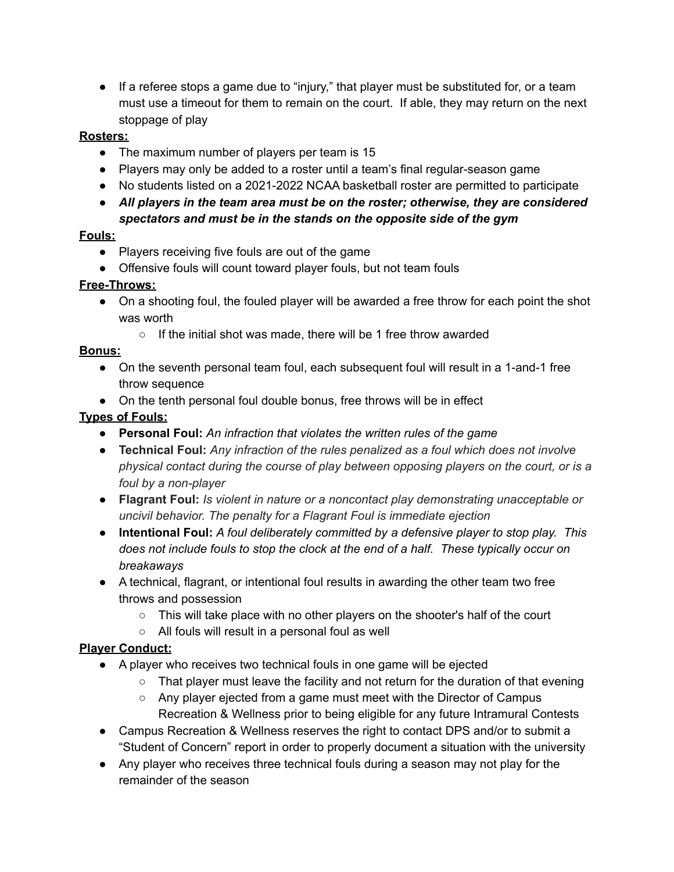● If a referee stops a game due to "injury," that player must be substituted for, or a team must use a timeout for them to remain on the court. If able, they may return on the next stoppage of play

#### **Rosters:**

- The maximum number of players per team is 15
- Players may only be added to a roster until a team's final regular-season game
- No students listed on a 2021-2022 NCAA basketball roster are permitted to participate
- *All players in the team area must be on the roster; otherwise, they are considered spectators and must be in the stands on the opposite side of the gym*

#### **Fouls:**

- Players receiving five fouls are out of the game
- Offensive fouls will count toward player fouls, but not team fouls

## **Free-Throws:**

- On a shooting foul, the fouled player will be awarded a free throw for each point the shot was worth
	- If the initial shot was made, there will be 1 free throw awarded

## **Bonus:**

- On the seventh personal team foul, each subsequent foul will result in a 1-and-1 free throw sequence
- On the tenth personal foul double bonus, free throws will be in effect

## **Types of Fouls:**

- **Personal Foul:** *An infraction that violates the written rules of the game*
- **Technical Foul:** *Any infraction of the rules penalized as a foul which does not involve physical contact during the course of play between opposing players on the court, or is a foul by a non-player*
- **Flagrant Foul:** *Is violent in nature or a noncontact play demonstrating unacceptable or uncivil behavior. The penalty for a Flagrant Foul is immediate ejection*
- **● Intentional Foul:** *A foul deliberately committed by a defensive player to stop play. This does not include fouls to stop the clock at the end of a half. These typically occur on breakaways*
- A technical, flagrant, or intentional foul results in awarding the other team two free throws and possession
	- This will take place with no other players on the shooter's half of the court
	- All fouls will result in a personal foul as well

# **Player Conduct:**

- A player who receives two technical fouls in one game will be ejected
	- $\circ$  That player must leave the facility and not return for the duration of that evening
	- Any player ejected from a game must meet with the Director of Campus Recreation & Wellness prior to being eligible for any future Intramural Contests
- Campus Recreation & Wellness reserves the right to contact DPS and/or to submit a "Student of Concern" report in order to properly document a situation with the university
- Any player who receives three technical fouls during a season may not play for the remainder of the season